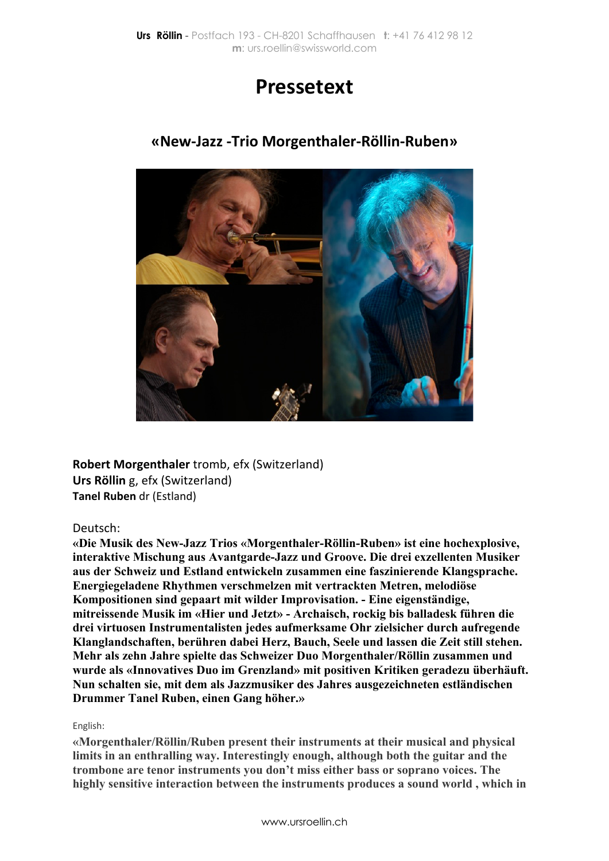# **Pressetext**



## **«New-Jazz -Trio Morgenthaler-Röllin-Ruben»**

**Robert Morgenthaler** tromb, efx (Switzerland) **Urs Röllin** g, efx (Switzerland) **Tanel Ruben** dr (Estland)

### Deutsch:

**«Die Musik des New-Jazz Trios «Morgenthaler-Röllin-Ruben» ist eine hochexplosive, interaktive Mischung aus Avantgarde-Jazz und Groove. Die drei exzellenten Musiker aus der Schweiz und Estland entwickeln zusammen eine faszinierende Klangsprache. Energiegeladene Rhythmen verschmelzen mit vertrackten Metren, melodiöse Kompositionen sind gepaart mit wilder Improvisation. - Eine eigenständige, mitreissende Musik im «Hier und Jetzt» - Archaisch, rockig bis balladesk führen die drei virtuosen Instrumentalisten jedes aufmerksame Ohr zielsicher durch aufregende Klanglandschaften, berühren dabei Herz, Bauch, Seele und lassen die Zeit still stehen. Mehr als zehn Jahre spielte das Schweizer Duo Morgenthaler/Röllin zusammen und wurde als «Innovatives Duo im Grenzland» mit positiven Kritiken geradezu überhäuft. Nun schalten sie, mit dem als Jazzmusiker des Jahres ausgezeichneten estländischen Drummer Tanel Ruben, einen Gang höher.»**

### English:

**«Morgenthaler/Röllin/Ruben present their instruments at their musical and physical limits in an enthralling way. Interestingly enough, although both the guitar and the trombone are tenor instruments you don't miss either bass or soprano voices. The highly sensitive interaction between the instruments produces a sound world , which in**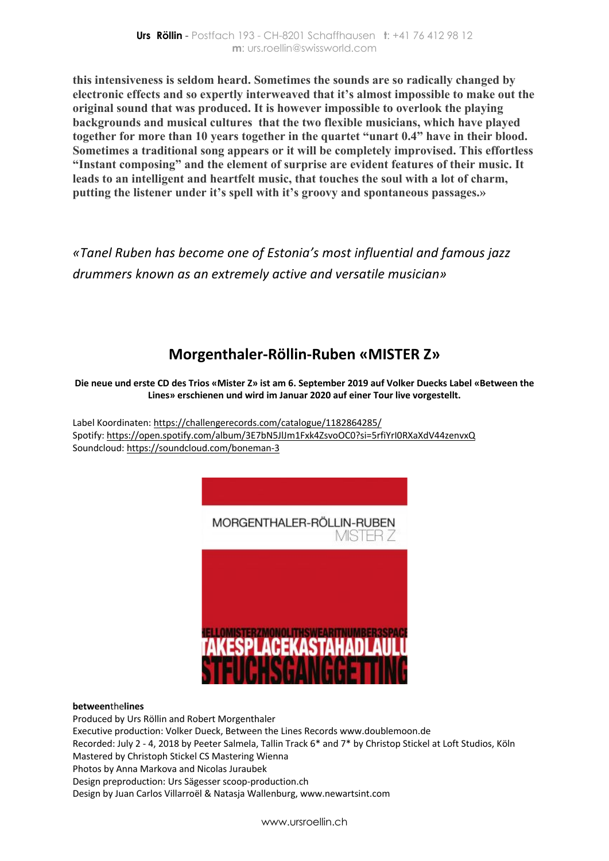**this intensiveness is seldom heard. Sometimes the sounds are so radically changed by electronic effects and so expertly interweaved that it's almost impossible to make out the original sound that was produced. It is however impossible to overlook the playing backgrounds and musical cultures that the two flexible musicians, which have played together for more than 10 years together in the quartet "unart 0.4" have in their blood. Sometimes a traditional song appears or it will be completely improvised. This effortless "Instant composing" and the element of surprise are evident features of their music. It leads to an intelligent and heartfelt music, that touches the soul with a lot of charm, putting the listener under it's spell with it's groovy and spontaneous passages.»**

*«Tanel Ruben has become one of Estonia's most influential and famous jazz drummers known as an extremely active and versatile musician»*

# **Morgenthaler-Röllin-Ruben «MISTER Z»**

### **Die neue und erste CD des Trios «Mister Z» ist am 6. September 2019 auf Volker Duecks Label «Between the Lines» erschienen und wird im Januar 2020 auf einer Tour live vorgestellt.**

Label Koordinaten: https://challengerecords.com/catalogue/1182864285/ Spotify: https://open.spotify.com/album/3E7bN5JlJm1Fxk4ZsvoOC0?si=5rfiYrI0RXaXdV44zenvxQ Soundcloud: https://soundcloud.com/boneman-3



#### **between**the**lines**

Produced by Urs Röllin and Robert Morgenthaler Executive production: Volker Dueck, Between the Lines Records www.doublemoon.de Recorded: July 2 - 4, 2018 by Peeter Salmela, Tallin Track 6\* and 7\* by Christop Stickel at Loft Studios, Köln Mastered by Christoph Stickel CS Mastering Wienna Photos by Anna Markova and Nicolas Juraubek Design preproduction: Urs Sägesser scoop-production.ch Design by Juan Carlos Villarroël & Natasja Wallenburg, www.newartsint.com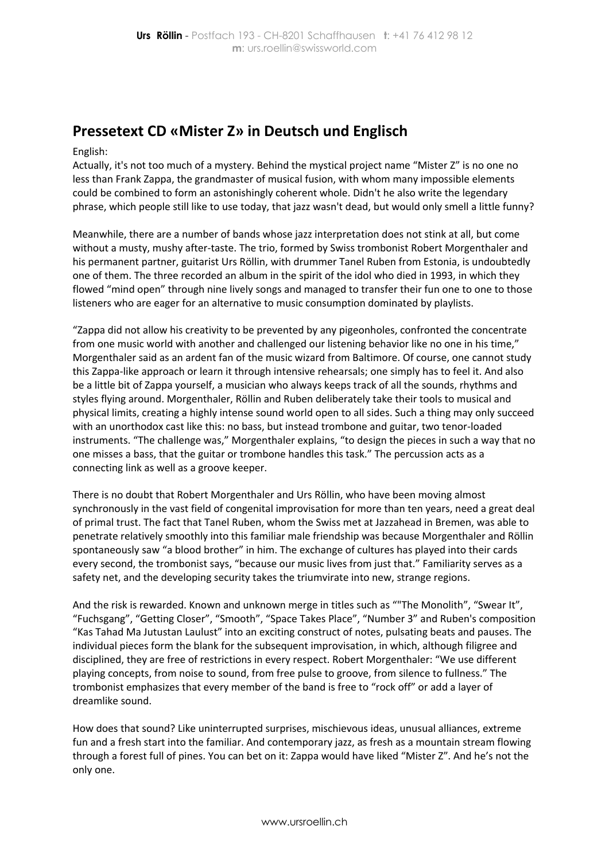# **Pressetext CD «Mister Z» in Deutsch und Englisch**

#### English:

Actually, it's not too much of a mystery. Behind the mystical project name "Mister Z" is no one no less than Frank Zappa, the grandmaster of musical fusion, with whom many impossible elements could be combined to form an astonishingly coherent whole. Didn't he also write the legendary phrase, which people still like to use today, that jazz wasn't dead, but would only smell a little funny?

Meanwhile, there are a number of bands whose jazz interpretation does not stink at all, but come without a musty, mushy after-taste. The trio, formed by Swiss trombonist Robert Morgenthaler and his permanent partner, guitarist Urs Röllin, with drummer Tanel Ruben from Estonia, is undoubtedly one of them. The three recorded an album in the spirit of the idol who died in 1993, in which they flowed "mind open" through nine lively songs and managed to transfer their fun one to one to those listeners who are eager for an alternative to music consumption dominated by playlists.

"Zappa did not allow his creativity to be prevented by any pigeonholes, confronted the concentrate from one music world with another and challenged our listening behavior like no one in his time," Morgenthaler said as an ardent fan of the music wizard from Baltimore. Of course, one cannot study this Zappa-like approach or learn it through intensive rehearsals; one simply has to feel it. And also be a little bit of Zappa yourself, a musician who always keeps track of all the sounds, rhythms and styles flying around. Morgenthaler, Röllin and Ruben deliberately take their tools to musical and physical limits, creating a highly intense sound world open to all sides. Such a thing may only succeed with an unorthodox cast like this: no bass, but instead trombone and guitar, two tenor-loaded instruments. "The challenge was," Morgenthaler explains, "to design the pieces in such a way that no one misses a bass, that the guitar or trombone handles this task." The percussion acts as a connecting link as well as a groove keeper.

There is no doubt that Robert Morgenthaler and Urs Röllin, who have been moving almost synchronously in the vast field of congenital improvisation for more than ten years, need a great deal of primal trust. The fact that Tanel Ruben, whom the Swiss met at Jazzahead in Bremen, was able to penetrate relatively smoothly into this familiar male friendship was because Morgenthaler and Röllin spontaneously saw "a blood brother" in him. The exchange of cultures has played into their cards every second, the trombonist says, "because our music lives from just that." Familiarity serves as a safety net, and the developing security takes the triumvirate into new, strange regions.

And the risk is rewarded. Known and unknown merge in titles such as ""The Monolith", "Swear It", "Fuchsgang", "Getting Closer", "Smooth", "Space Takes Place", "Number 3" and Ruben's composition "Kas Tahad Ma Jutustan Laulust" into an exciting construct of notes, pulsating beats and pauses. The individual pieces form the blank for the subsequent improvisation, in which, although filigree and disciplined, they are free of restrictions in every respect. Robert Morgenthaler: "We use different playing concepts, from noise to sound, from free pulse to groove, from silence to fullness." The trombonist emphasizes that every member of the band is free to "rock off" or add a layer of dreamlike sound.

How does that sound? Like uninterrupted surprises, mischievous ideas, unusual alliances, extreme fun and a fresh start into the familiar. And contemporary jazz, as fresh as a mountain stream flowing through a forest full of pines. You can bet on it: Zappa would have liked "Mister Z". And he's not the only one.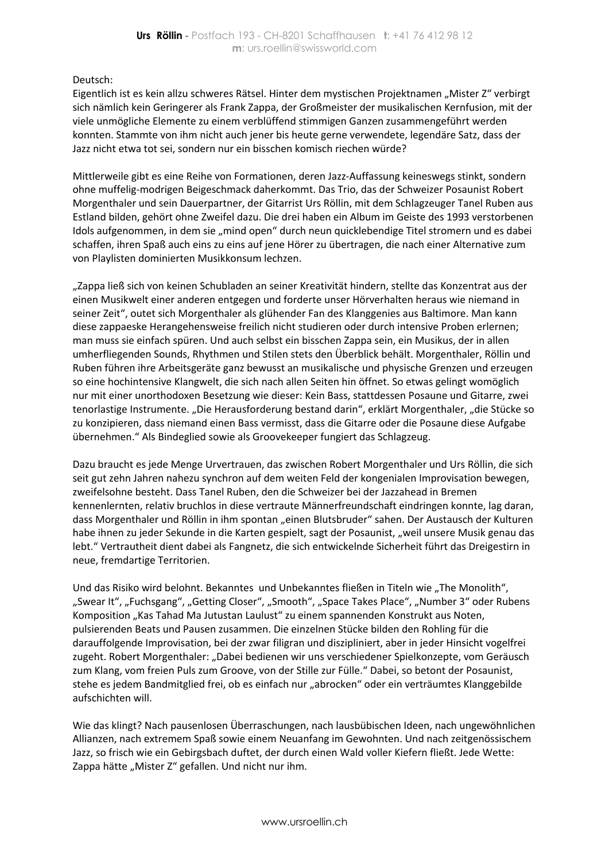Deutsch:

Eigentlich ist es kein allzu schweres Rätsel. Hinter dem mystischen Projektnamen "Mister Z" verbirgt sich nämlich kein Geringerer als Frank Zappa, der Großmeister der musikalischen Kernfusion, mit der viele unmögliche Elemente zu einem verblüffend stimmigen Ganzen zusammengeführt werden konnten. Stammte von ihm nicht auch jener bis heute gerne verwendete, legendäre Satz, dass der Jazz nicht etwa tot sei, sondern nur ein bisschen komisch riechen würde?

Mittlerweile gibt es eine Reihe von Formationen, deren Jazz-Auffassung keineswegs stinkt, sondern ohne muffelig-modrigen Beigeschmack daherkommt. Das Trio, das der Schweizer Posaunist Robert Morgenthaler und sein Dauerpartner, der Gitarrist Urs Röllin, mit dem Schlagzeuger Tanel Ruben aus Estland bilden, gehört ohne Zweifel dazu. Die drei haben ein Album im Geiste des 1993 verstorbenen Idols aufgenommen, in dem sie "mind open" durch neun quicklebendige Titel stromern und es dabei schaffen, ihren Spaß auch eins zu eins auf jene Hörer zu übertragen, die nach einer Alternative zum von Playlisten dominierten Musikkonsum lechzen.

"Zappa ließ sich von keinen Schubladen an seiner Kreativität hindern, stellte das Konzentrat aus der einen Musikwelt einer anderen entgegen und forderte unser Hörverhalten heraus wie niemand in seiner Zeit", outet sich Morgenthaler als glühender Fan des Klanggenies aus Baltimore. Man kann diese zappaeske Herangehensweise freilich nicht studieren oder durch intensive Proben erlernen; man muss sie einfach spüren. Und auch selbst ein bisschen Zappa sein, ein Musikus, der in allen umherfliegenden Sounds, Rhythmen und Stilen stets den Überblick behält. Morgenthaler, Röllin und Ruben führen ihre Arbeitsgeräte ganz bewusst an musikalische und physische Grenzen und erzeugen so eine hochintensive Klangwelt, die sich nach allen Seiten hin öffnet. So etwas gelingt womöglich nur mit einer unorthodoxen Besetzung wie dieser: Kein Bass, stattdessen Posaune und Gitarre, zwei tenorlastige Instrumente. "Die Herausforderung bestand darin", erklärt Morgenthaler, "die Stücke so zu konzipieren, dass niemand einen Bass vermisst, dass die Gitarre oder die Posaune diese Aufgabe übernehmen." Als Bindeglied sowie als Groovekeeper fungiert das Schlagzeug.

Dazu braucht es jede Menge Urvertrauen, das zwischen Robert Morgenthaler und Urs Röllin, die sich seit gut zehn Jahren nahezu synchron auf dem weiten Feld der kongenialen Improvisation bewegen, zweifelsohne besteht. Dass Tanel Ruben, den die Schweizer bei der Jazzahead in Bremen kennenlernten, relativ bruchlos in diese vertraute Männerfreundschaft eindringen konnte, lag daran, dass Morgenthaler und Röllin in ihm spontan "einen Blutsbruder" sahen. Der Austausch der Kulturen habe ihnen zu jeder Sekunde in die Karten gespielt, sagt der Posaunist, "weil unsere Musik genau das lebt." Vertrautheit dient dabei als Fangnetz, die sich entwickelnde Sicherheit führt das Dreigestirn in neue, fremdartige Territorien.

Und das Risiko wird belohnt. Bekanntes und Unbekanntes fließen in Titeln wie "The Monolith", "Swear It", "Fuchsgang", "Getting Closer", "Smooth", "Space Takes Place", "Number 3" oder Rubens Komposition "Kas Tahad Ma Jutustan Laulust" zu einem spannenden Konstrukt aus Noten, pulsierenden Beats und Pausen zusammen. Die einzelnen Stücke bilden den Rohling für die darauffolgende Improvisation, bei der zwar filigran und diszipliniert, aber in jeder Hinsicht vogelfrei zugeht. Robert Morgenthaler: "Dabei bedienen wir uns verschiedener Spielkonzepte, vom Geräusch zum Klang, vom freien Puls zum Groove, von der Stille zur Fülle." Dabei, so betont der Posaunist, stehe es jedem Bandmitglied frei, ob es einfach nur "abrocken" oder ein verträumtes Klanggebilde aufschichten will.

Wie das klingt? Nach pausenlosen Überraschungen, nach lausbübischen Ideen, nach ungewöhnlichen Allianzen, nach extremem Spaß sowie einem Neuanfang im Gewohnten. Und nach zeitgenössischem Jazz, so frisch wie ein Gebirgsbach duftet, der durch einen Wald voller Kiefern fließt. Jede Wette: Zappa hätte "Mister Z" gefallen. Und nicht nur ihm.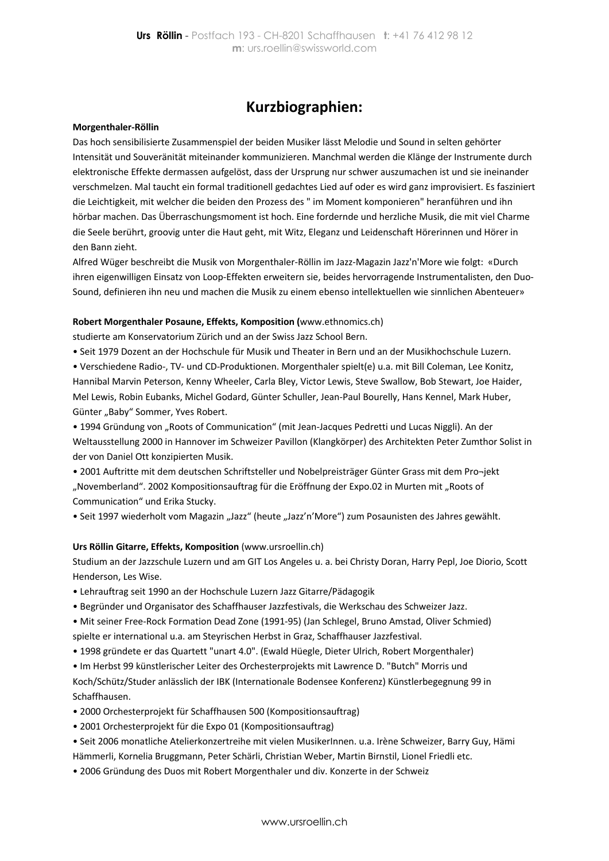## **Kurzbiographien:**

#### **Morgenthaler-Röllin**

Das hoch sensibilisierte Zusammenspiel der beiden Musiker lässt Melodie und Sound in selten gehörter Intensität und Souveränität miteinander kommunizieren. Manchmal werden die Klänge der Instrumente durch elektronische Effekte dermassen aufgelöst, dass der Ursprung nur schwer auszumachen ist und sie ineinander verschmelzen. Mal taucht ein formal traditionell gedachtes Lied auf oder es wird ganz improvisiert. Es fasziniert die Leichtigkeit, mit welcher die beiden den Prozess des " im Moment komponieren" heranführen und ihn hörbar machen. Das Überraschungsmoment ist hoch. Eine fordernde und herzliche Musik, die mit viel Charme die Seele berührt, groovig unter die Haut geht, mit Witz, Eleganz und Leidenschaft Hörerinnen und Hörer in den Bann zieht.

Alfred Wüger beschreibt die Musik von Morgenthaler-Röllin im Jazz-Magazin Jazz'n'More wie folgt: «Durch ihren eigenwilligen Einsatz von Loop-Effekten erweitern sie, beides hervorragende Instrumentalisten, den Duo-Sound, definieren ihn neu und machen die Musik zu einem ebenso intellektuellen wie sinnlichen Abenteuer»

#### **Robert Morgenthaler Posaune, Effekts, Komposition (**www.ethnomics.ch)

studierte am Konservatorium Zürich und an der Swiss Jazz School Bern.

• Seit 1979 Dozent an der Hochschule für Musik und Theater in Bern und an der Musikhochschule Luzern.

• Verschiedene Radio-, TV- und CD-Produktionen. Morgenthaler spielt(e) u.a. mit Bill Coleman, Lee Konitz, Hannibal Marvin Peterson, Kenny Wheeler, Carla Bley, Victor Lewis, Steve Swallow, Bob Stewart, Joe Haider, Mel Lewis, Robin Eubanks, Michel Godard, Günter Schuller, Jean-Paul Bourelly, Hans Kennel, Mark Huber, Günter "Baby" Sommer, Yves Robert.

• 1994 Gründung von "Roots of Communication" (mit Jean-Jacques Pedretti und Lucas Niggli). An der Weltausstellung 2000 in Hannover im Schweizer Pavillon (Klangkörper) des Architekten Peter Zumthor Solist in der von Daniel Ott konzipierten Musik.

• 2001 Auftritte mit dem deutschen Schriftsteller und Nobelpreisträger Günter Grass mit dem Pro¬jekt "Novemberland". 2002 Kompositionsauftrag für die Eröffnung der Expo.02 in Murten mit "Roots of Communication" und Erika Stucky.

• Seit 1997 wiederholt vom Magazin "Jazz" (heute "Jazz'n'More") zum Posaunisten des Jahres gewählt.

#### **Urs Röllin Gitarre, Effekts, Komposition** (www.ursroellin.ch)

Studium an der Jazzschule Luzern und am GIT Los Angeles u. a. bei Christy Doran, Harry Pepl, Joe Diorio, Scott Henderson, Les Wise.

- Lehrauftrag seit 1990 an der Hochschule Luzern Jazz Gitarre/Pädagogik
- Begründer und Organisator des Schaffhauser Jazzfestivals, die Werkschau des Schweizer Jazz.
- Mit seiner Free-Rock Formation Dead Zone (1991-95) (Jan Schlegel, Bruno Amstad, Oliver Schmied) spielte er international u.a. am Steyrischen Herbst in Graz, Schaffhauser Jazzfestival.
- 1998 gründete er das Quartett "unart 4.0". (Ewald Hüegle, Dieter Ulrich, Robert Morgenthaler)
- Im Herbst 99 künstlerischer Leiter des Orchesterprojekts mit Lawrence D. "Butch" Morris und Koch/Schütz/Studer anlässlich der IBK (Internationale Bodensee Konferenz) Künstlerbegegnung 99 in Schaffhausen.
- 2000 Orchesterprojekt für Schaffhausen 500 (Kompositionsauftrag)
- 2001 Orchesterprojekt für die Expo 01 (Kompositionsauftrag)
- Seit 2006 monatliche Atelierkonzertreihe mit vielen MusikerInnen. u.a. Irène Schweizer, Barry Guy, Hämi
- Hämmerli, Kornelia Bruggmann, Peter Schärli, Christian Weber, Martin Birnstil, Lionel Friedli etc.
- 2006 Gründung des Duos mit Robert Morgenthaler und div. Konzerte in der Schweiz